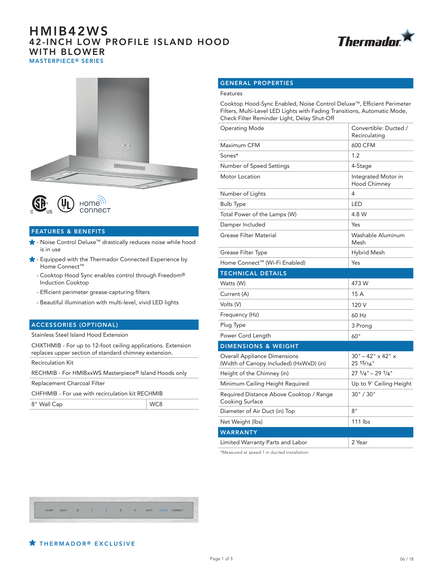# HMIB42WS 42-INCH LOW PROFILE ISLAND HOOD WITH BLOWER MASTERPIECE® SERIES







## FEATURES & BENEFITS

- Noise Control Deluxe™ drastically reduces noise while hood is in use
- $\bigstar$  Equipped with the Thermador Connected Experience by Home Connect™
	- Cooktop Hood Sync enables control through Freedom® Induction Cooktop
	- Efficient perimeter grease-capturing filters
	- Beautiful illumination with multi-level, vivid LED lights

#### ACCESSORIES (OPTIONAL)

Stainless Steel Island Hood Extension

CHXTHMIB - For up to 12-foot ceiling applications. Extension replaces upper section of standard chimney extension.

Recirculation Kit

RECHMIB - For HMIBxxWS Masterpiece® Island Hoods only

Replacement Charcoal Filter

CHFHMIB - For use with recirculation kit RECHMIB

| 8" Wall Cap | WC8 |
|-------------|-----|
|             |     |

### GENERAL PROPERTIES

#### Features

Cooktop Hood-Sync Enabled, Noise Control Deluxe™, Efficient Perimeter Filters, Multi-Level LED Lights with Fading Transitions, Automatic Mode, Check Filter Reminder Light, Delay Shut-Off

| Operating Mode                                                                 | Convertible: Ducted /<br>Recirculating             |
|--------------------------------------------------------------------------------|----------------------------------------------------|
| Maximum CFM                                                                    | 600 CFM                                            |
| Sones*                                                                         | 1.2                                                |
| Number of Speed Settings                                                       | 4-Stage                                            |
| Motor Location                                                                 | Integrated Motor in<br><b>Hood Chimney</b>         |
| Number of Lights                                                               | 4                                                  |
| <b>Bulb Type</b>                                                               | LED                                                |
| Total Power of the Lamps (W)                                                   | 4.8 W                                              |
| Damper Included                                                                | Yes                                                |
| <b>Grease Filter Material</b>                                                  | Washable Aluminum<br>Mesh                          |
| Grease Filter Type                                                             | Hybrid Mesh                                        |
| Home Connect™ (Wi-Fi Enabled)                                                  | Yes                                                |
| <b>TECHNICAL DETAILS</b>                                                       |                                                    |
| Watts (W)                                                                      | 473 W                                              |
| Current (A)                                                                    | 15 A                                               |
| Volts (V)                                                                      | 120 V                                              |
| Frequency (Hz)                                                                 | 60 Hz                                              |
| Plug Type                                                                      | 3 Prong                                            |
| Power Cord Length                                                              | 60"                                                |
| <b>DIMENSIONS &amp; WEIGHT</b>                                                 |                                                    |
| <b>Overall Appliance Dimensions</b><br>(Width of Canopy Included) (HxWxD) (in) | $30" - 42" \times 42"$ x<br>25 15/ <sub>16</sub> " |
| Height of the Chimney (in)                                                     | $271/4" - 291/4"$                                  |
| Minimum Ceiling Height Required                                                | Up to 9' Ceiling Height                            |
| Required Distance Above Cooktop / Range<br>Cooking Surface                     | 30" / 30"                                          |
| Diameter of Air Duct (in) Top                                                  | 8"                                                 |
| Net Weight (lbs)                                                               | 111 lbs                                            |
| <b>WARRANTY</b>                                                                |                                                    |
| Limited Warranty Parts and Labor                                               | 2 Year                                             |

\*Measured at speed 1 in ducted installation

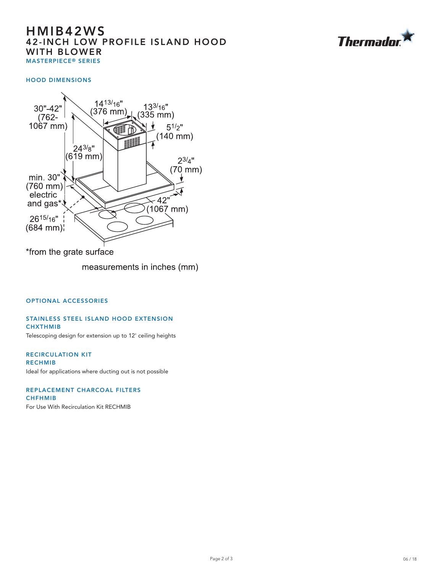# HMIB42WS 42-INCH LOW PROFILE ISLAND HOOD WITH BLOWER MASTERPIECE® SERIES



### HOOD DIMENSIONS



\*from the grate surface

measurements in inches (mm)

## OPTIONAL ACCESSORIES

#### STAINLESS STEEL ISLAND HOOD EXTENSION **CHXTHMIB**

Telescoping design for extension up to 12' ceiling heights

RECIRCULATION KIT RECHMIB Ideal for applications where ducting out is not possible

REPLACEMENT CHARCOAL FILTERS CHFHMIB For Use With Recirculation Kit RECHMIB